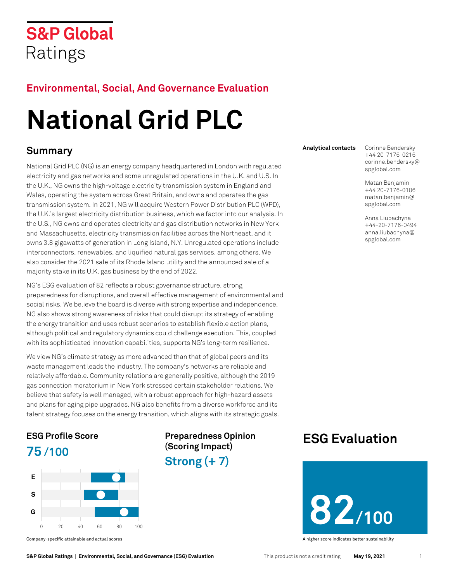## **S&P Global** Ratings

## **Environmental, Social, And Governance Evaluation**

# **National Grid PLC**

## **Summary**

National Grid PLC (NG) is an energy company headquartered in London with regulated electricity and gas networks and some unregulated operations in the U.K. and U.S. In the U.K., NG owns the high-voltage electricity transmission system in England and Wales, operating the system across Great Britain, and owns and operates the gas transmission system. In 2021, NG will acquire Western Power Distribution PLC (WPD), the U.K.'s largest electricity distribution business, which we factor into our analysis. In the U.S., NG owns and operates electricity and gas distribution networks in New York and Massachusetts, electricity transmission facilities across the Northeast, and it owns 3.8 gigawatts of generation in Long Island, N.Y. Unregulated operations include interconnectors, renewables, and liquified natural gas services, among others. We also consider the 2021 sale of its Rhode Island utility and the announced sale of a majority stake in its U.K. gas business by the end of 2022.

NG's ESG evaluation of 82 reflects a robust governance structure, strong preparedness for disruptions, and overall effective management of environmental and social risks. We believe the board is diverse with strong expertise and independence. NG also shows strong awareness of risks that could disrupt its strategy of enabling the energy transition and uses robust scenarios to establish flexible action plans, although political and regulatory dynamics could challenge execution. This, coupled with its sophisticated innovation capabilities, supports NG's long-term resilience.

We view NG's climate strategy as more advanced than that of global peers and its waste management leads the industry. The company's networks are reliable and relatively affordable. Community relations are generally positive, although the 2019 gas connection moratorium in New York stressed certain stakeholder relations. We believe that safety is well managed, with a robust approach for high-hazard assets and plans for aging pipe upgrades. NG also benefits from a diverse workforce and its talent strategy focuses on the energy transition, which aligns with its strategic goals.

## **ESG [Profile Score](#page-2-0) 75 /100**



**Preparedness Opinion (Scoring Impact) Strong (+ 7)**

**Analytical contacts** Corinne Bendersky +44 20-7176-0216 corinne.bendersky@ spglobal.com

> Matan Benjamin +44 20-7176-0106 matan.benjamin@ spglobal.com

Anna Liubachyna +44-20-7176-0494 anna.liubachyna@ spglobal.com

## **[ESG Evaluation](#page-1-0)**



Company-specific attainable and actual scores A higher score indicates better sustainability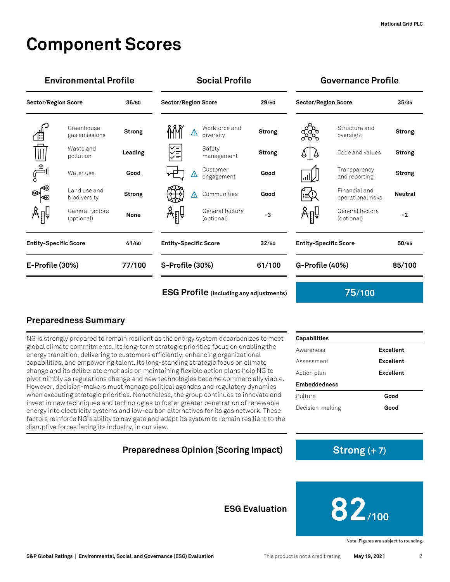## **Component Scores**

|                              | <b>Environmental Profile</b>  |               | <b>Social Profile</b>        |                               |               | <b>Governance Profile</b>             |                                    |                |
|------------------------------|-------------------------------|---------------|------------------------------|-------------------------------|---------------|---------------------------------------|------------------------------------|----------------|
| <b>Sector/Region Score</b>   |                               | 36/50         | <b>Sector/Region Score</b>   |                               | 29/50         | <b>Sector/Region Score</b>            |                                    | 35/35          |
|                              | Greenhouse<br>gas emissions   | <b>Strong</b> | ⚠                            | Workforce and<br>diversity    | Strong        | ್ಲೆಸ್ಗೆ<br>ಸಿಸ್                       | Structure and<br>oversight         | <b>Strong</b>  |
| $\mathbb{H}$                 | Waste and<br>pollution        | Leading       | ΥĒ<br>$\checkmark$           | Safety<br>management          | <b>Strong</b> | 4   4                                 | Code and values                    | <b>Strong</b>  |
| الڪُه                        | Water use                     | Good          | <b>H</b><br>⚠                | Customer<br>engagement        | Good          | 心少                                    | Transparency<br>and reporting      | <b>Strong</b>  |
| ⊛<br>Κ⊛                      | Land use and<br>biodiversity  | <b>Strong</b> | ∧                            | Communities                   | Good          | F≘Ω                                   | Financial and<br>operational risks | <b>Neutral</b> |
|                              | General factors<br>(optional) | None          | Ѧӻѱ                          | General factors<br>(optional) | -3            | Åℿ                                    | General factors<br>(optional)      | $-2$           |
| <b>Entity-Specific Score</b> |                               | 41/50         | <b>Entity-Specific Score</b> |                               | 32/50         | <b>Entity-Specific Score</b><br>50/65 |                                    |                |
| E-Profile (30%)              |                               | 77/100        | S-Profile (30%)              |                               | 61/100        | G-Profile (40%)                       |                                    | 85/100         |
|                              |                               |               |                              |                               |               |                                       |                                    |                |

**[ESG Profile](#page-2-0) (including [any adjustments\)](#page-2-0) 75/100**

Awareness **Excellent** Assessment **Excellent** Action plan **Excellent**

Culture **Good** Decision-making **Good**

## **Preparedness Summary**

NG is strongly prepared to remain resilient as the energy system decarbonizes to meet global climate commitments. Its long-term strategic priorities focus on enabling the energy transition, delivering to customers efficiently, enhancing organizational capabilities, and empowering talent. Its long-standing strategic focus on climate change and its deliberate emphasis on maintaining flexible action plans help NG to pivot nimbly as regulations change and new technologies become commercially viable. However, decision-makers must manage political agendas and regulatory dynamics when executing strategic priorities. Nonetheless, the group continues to innovate and invest in new techniques and technologies to foster greater penetration of renewable energy into electricity systems and low-carbon alternatives for its gas network. These factors reinforce NG's ability to navigate and adapt its system to remain resilient to the disruptive forces facing its industry, in our view.

## <span id="page-1-0"></span>**Preparedness Opinion (Scoring Impact) Strong** (+ 7)



Note: Figures are subject to rounding.

**Capabilities**

**Embeddedness**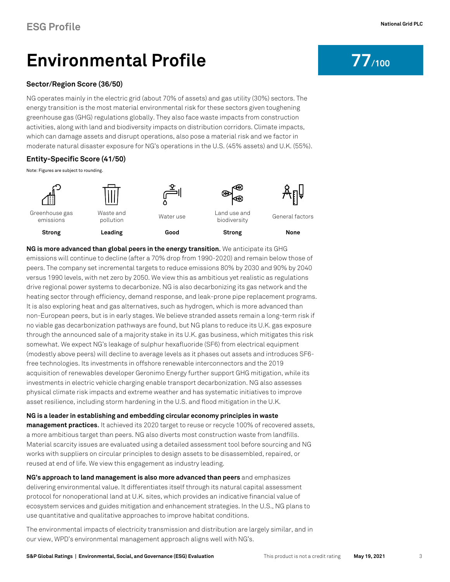## <span id="page-2-0"></span>**Environmental Profile Profile Profile Profile**

### **[Sector/Region Score](#page-6-0) (36/50)**

NG operates mainly in the electric grid (about 70% of assets) and gas utility (30%) sectors. The energy transition is the most material environmental risk for these sectors given toughening greenhouse gas (GHG) regulations globally. They also face waste impacts from construction activities, along with land and biodiversity impacts on distribution corridors. Climate impacts, which can damage assets and disrupt operations, also pose a material risk and we factor in moderate natural disaster exposure for NG's operations in the U.S. (45% assets) and U.K. (55%).

## **Entity-Specific Score (41/50)**

Note: Figures are subject to rounding.





Greenhouse gas emissions



**Strong Leading Good Strong None**



pollution Water use Land use and Land use and<br>biodiversity General factors

Ѧҏѱ

**NG is more advanced than global peers in the energy transition**. We anticipate its GHG emissions will continue to decline (after a 70% drop from 1990-2020) and remain below those of peers. The company set incremental targets to reduce emissions 80% by 2030 and 90% by 2040 versus 1990 levels, with net zero by 2050. We view this as ambitious yet realistic as regulations drive regional power systems to decarbonize. NG is also decarbonizing its gas network and the heating sector through efficiency, demand response, and leak-prone pipe replacement programs. It is also exploring heat and gas alternatives, such as hydrogen, which is more advanced than non-European peers, but is in early stages. We believe stranded assets remain a long-term risk if no viable gas decarbonization pathways are found, but NG plans to reduce its U.K. gas exposure through the announced sale of a majority stake in its U.K. gas business, which mitigates this risk somewhat. We expect NG's leakage of sulphur hexafluoride (SF6) from electrical equipment (modestly above peers) will decline to average levels as it phases out assets and introduces SF6 free technologies. Its investments in offshore renewable interconnectors and the 2019 acquisition of renewables developer Geronimo Energy further support GHG mitigation, while its investments in electric vehicle charging enable transport decarbonization. NG also assesses physical climate risk impacts and extreme weather and has systematic initiatives to improve asset resilience, including storm hardening in the U.S. and flood mitigation in the U.K.

**NG is a leader in establishing and embedding circular economy principles in waste management practices**. It achieved its 2020 target to reuse or recycle 100% of recovered assets, a more ambitious target than peers. NG also diverts most construction waste from landfills. Material scarcity issues are evaluated using a detailed assessment tool before sourcing and NG works with suppliers on circular principles to design assets to be disassembled, repaired, or reused at end of life. We view this engagement as industry leading.

**NG's approach to land management is also more advanced than peers** and emphasizes delivering environmental value. It differentiates itself through its natural capital assessment protocol for nonoperational land at U.K. sites, which provides an indicative financial value of ecosystem services and guides mitigation and enhancement strategies. In the U.S., NG plans to use quantitative and qualitative approaches to improve habitat conditions.

The environmental impacts of electricity transmission and distribution are largely similar, and in our view, WPD's environmental management approach aligns well with NG's.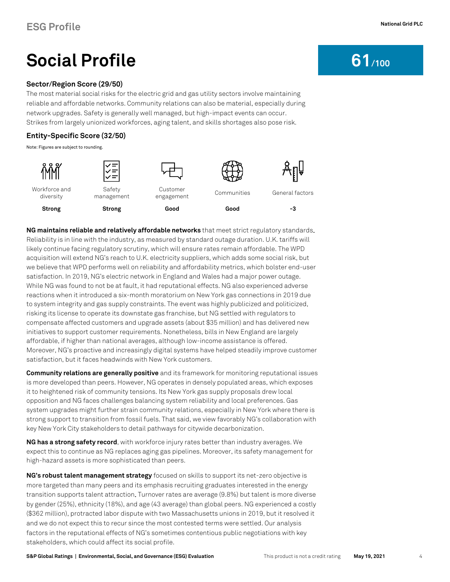## **Social Profile** 61/100

### **[Sector/Region Score](#page-6-0) (29/50)**

The most material social risks for the electric grid and gas utility sectors involve maintaining reliable and affordable networks. Community relations can also be material, especially during network upgrades. Safety is generally well managed, but high-impact events can occur. Strikes from largely unionized workforces, aging talent, and skills shortages also pose risk.

### **Entity-Specific Score (32/50)**

Note: Figures are subject to rounding.

| Workforce and<br>diversity | Safety<br>management | Customer<br>engagement | Communities | General factors |
|----------------------------|----------------------|------------------------|-------------|-----------------|
| <b>Strong</b>              | <b>Strong</b>        | Good                   | Good        | -3              |

**NG maintains reliable and relatively affordable networks** that meet strict regulatory standards. Reliability is in line with the industry, as measured by standard outage duration. U.K. tariffs will likely continue facing regulatory scrutiny, which will ensure rates remain affordable. The WPD acquisition will extend NG's reach to U.K. electricity suppliers, which adds some social risk, but we believe that WPD performs well on reliability and affordability metrics, which bolster end-user satisfaction. In 2019, NG's electric network in England and Wales had a major power outage. While NG was found to not be at fault, it had reputational effects. NG also experienced adverse reactions when it introduced a six-month moratorium on New York gas connections in 2019 due to system integrity and gas supply constraints. The event was highly publicized and politicized, risking its license to operate its downstate gas franchise, but NG settled with regulators to compensate affected customers and upgrade assets (about \$35 million) and has delivered new initiatives to support customer requirements. Nonetheless, bills in New England are largely affordable, if higher than national averages, although low-income assistance is offered. Moreover, NG's proactive and increasingly digital systems have helped steadily improve customer satisfaction, but it faces headwinds with New York customers.

**Community relations are generally positive** and its framework for monitoring reputational issues is more developed than peers. However, NG operates in densely populated areas, which exposes it to heightened risk of community tensions. Its New York gas supply proposals drew local opposition and NG faces challenges balancing system reliability and local preferences. Gas system upgrades might further strain community relations, especially in New York where there is strong support to transition from fossil fuels. That said, we view favorably NG's collaboration with key New York City stakeholders to detail pathways for citywide decarbonization.

**NG has a strong safety record**, with workforce injury rates better than industry averages. We expect this to continue as NG replaces aging gas pipelines. Moreover, its safety management for high-hazard assets is more sophisticated than peers.

**NG's robust talent management strategy** focused on skills to support its net-zero objective is more targeted than many peers and its emphasis recruiting graduates interested in the energy transition supports talent attraction. Turnover rates are average (9.8%) but talent is more diverse by gender (25%), ethnicity (18%), and age (43 average) than global peers. NG experienced a costly (\$362 million), protracted labor dispute with two Massachusetts unions in 2019, but it resolved it and we do not expect this to recur since the most contested terms were settled. Our analysis factors in the reputational effects of NG's sometimes contentious public negotiations with key stakeholders, which could affect its social profile.

**S&P Global Ratings | Environmental, Social, and Governance (ESG) Evaluation** This product is not a credit rating **May 19, 2021** 4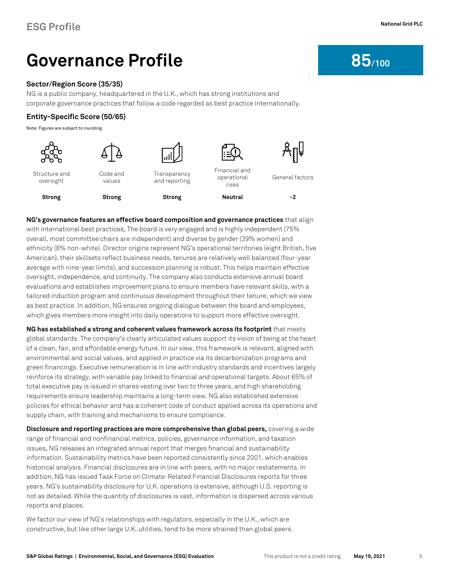## **Governance Profile** 85/100

### **[Sector/Region Score](#page-6-0) (35/35)**

NG is a public company, headquartered in the U.K., which has strong institutions and corporate governance practices that follow a code regarded as best practice internationally.

### **Entity-Specific Score (50/65)**

Note: Figures are subject to rounding.



**NG's governance features an effective board composition and governance practices** that align with international best practices. The board is very engaged and is highly independent (75% overall, most committee chairs are independent) and diverse by gender (39% women) and ethnicity (8% non-white). Director origins represent NG's operational territories (eight British, five American), their skillsets reflect business needs, tenures are relatively well balanced (four-year average with nine-year limits), and succession planning is robust. This helps maintain effective oversight, independence, and continuity. The company also conducts extensive annual board evaluations and establishes improvement plans to ensure members have relevant skills, with a tailored induction program and continuous development throughout their tenure, which we view as best practice. In addition, NG ensures ongoing dialogue between the board and employees, which gives members more insight into daily operations to support more effective oversight.

**NG has established a strong and coherent values framework across its footprint** that meets global standards. The company's clearly articulated values support its vision of being at the heart of a clean, fair, and affordable energy future. In our view, this framework is relevant, aligned with environmental and social values, and applied in practice via its decarbonization programs and green financings. Executive remuneration is in line with industry standards and incentives largely reinforce its strategy, with variable pay linked to financial and operational targets. About 65% of total executive pay is issued in shares vesting over two to three years, and high shareholding requirements ensure leadership maintains a long-term view. NG also established extensive policies for ethical behavior and has a coherent code of conduct applied across its operations and supply chain, with training and mechanisms to ensure compliance.

**Disclosure and reporting practices are more comprehensive than global peers,** covering a wide range of financial and nonfinancial metrics, policies, governance information, and taxation issues. NG releases an integrated annual report that merges financial and sustainability information. Sustainability metrics have been reported consistently since 2001, which enables historical analysis. Financial disclosures are in line with peers, with no major restatements. In addition, NG has issued Task Force on Climate-Related Financial Disclosures reports for three years. NG's sustainability disclosure for U.K. operations is extensive, although U.S. reporting is not as detailed. While the quantity of disclosures is vast, information is dispersed across various reports and places.

We factor our view of NG's relationships with regulators, especially in the U.K., which are constructive, but like other large U.K. utilities, tend to be more strained than global peers.

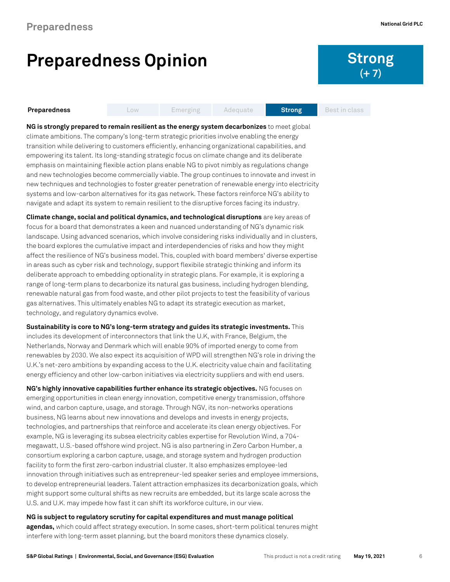## **Preparedness Opinion Strong**

# **(+ 7)**

### **Preparedness Low Emerging Adequate Strong Best in class**

**NG is strongly prepared to remain resilient as the energy system decarbonizes** to meet global climate ambitions. The company's long-term strategic priorities involve enabling the energy transition while delivering to customers efficiently, enhancing organizational capabilities, and empowering its talent. Its long-standing strategic focus on climate change and its deliberate emphasis on maintaining flexible action plans enable NG to pivot nimbly as regulations change and new technologies become commercially viable. The group continues to innovate and invest in new techniques and technologies to foster greater penetration of renewable energy into electricity systems and low-carbon alternatives for its gas network. These factors reinforce NG's ability to navigate and adapt its system to remain resilient to the disruptive forces facing its industry.

**Climate change, social and political dynamics, and technological disruptions** are key areas of focus for a board that demonstrates a keen and nuanced understanding of NG's dynamic risk landscape. Using advanced scenarios, which involve considering risks individually and in clusters, the board explores the cumulative impact and interdependencies of risks and how they might affect the resilience of NG's business model. This, coupled with board members' diverse expertise in areas such as cyber risk and technology, support flexibile strategic thinking and inform its deliberate approach to embedding optionality in strategic plans. For example, it is exploring a range of long-term plans to decarbonize its natural gas business, including hydrogen blending, renewable natural gas from food waste, and other pilot projects to test the feasibility of various gas alternatives. This ultimately enables NG to adapt its strategic execution as market, technology, and regulatory dynamics evolve.

**Sustainability is core to NG's long-term strategy and guides its strategic investments.** This includes its development of interconnectors that link the U.K, with France, Belgium, the Netherlands, Norway and Denmark which will enable 90% of imported energy to come from renewables by 2030. We also expect its acquisition of WPD will strengthen NG's role in driving the U.K.'s net-zero ambitions by expanding access to the U.K. electricity value chain and facilitating energy efficiency and other low-carbon initiatives via electricity suppliers and with end users.

**NG's highly innovative capabilities further enhance its strategic objectives.** NG focuses on emerging opportunities in clean energy innovation, competitive energy transmission, offshore wind, and carbon capture, usage, and storage. Through NGV, its non-networks operations business, NG learns about new innovations and develops and invests in energy projects, technologies, and partnerships that reinforce and accelerate its clean energy objectives. For example, NG is leveraging its subsea electricity cables expertise for Revolution Wind, a 704 megawatt, U.S.-based offshore wind project. NG is also partnering in Zero Carbon Humber, a consortium exploring a carbon capture, usage, and storage system and hydrogen production facility to form the first zero-carbon industrial cluster. It also emphasizes employee-led innovation through initiatives such as entrepreneur-led speaker series and employee immersions, to develop entrepreneurial leaders. Talent attraction emphasizes its decarbonization goals, which might support some cultural shifts as new recruits are embedded, but its large scale across the U.S. and U.K. may impede how fast it can shift its workforce culture, in our view.

### **NG is subject to regulatory scrutiny for capital expenditures and must manage political**

**agendas,** which could affect strategy execution. In some cases, short-term political tenures might interfere with long-term asset planning, but the board monitors these dynamics closely.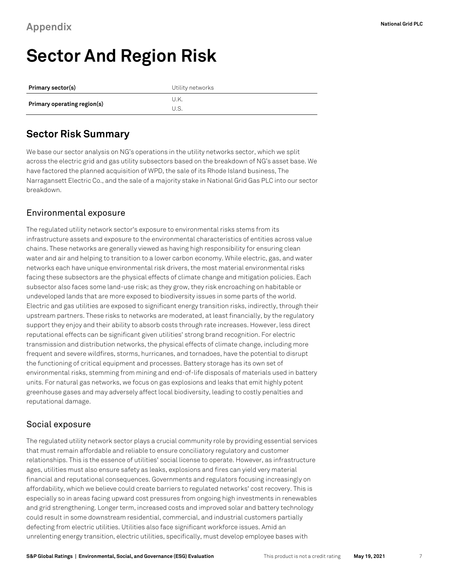## <span id="page-6-0"></span>**Sector And Region Risk**

| Primary sector(s)           | Utility networks |  |  |
|-----------------------------|------------------|--|--|
|                             | U.K.             |  |  |
| Primary operating region(s) | U.S              |  |  |

## **Sector Risk Summary**

We base our sector analysis on NG's operations in the utility networks sector, which we split across the electric grid and gas utility subsectors based on the breakdown of NG's asset base. We have factored the planned acquisition of WPD, the sale of its Rhode Island business, The Narragansett Electric Co., and the sale of a majority stake in National Grid Gas PLC into our sector breakdown.

## Environmental exposure

The regulated utility network sector's exposure to environmental risks stems from its infrastructure assets and exposure to the environmental characteristics of entities across value chains. These networks are generally viewed as having high responsibility for ensuring clean water and air and helping to transition to a lower carbon economy. While electric, gas, and water networks each have unique environmental risk drivers, the most material environmental risks facing these subsectors are the physical effects of climate change and mitigation policies. Each subsector also faces some land-use risk; as they grow, they risk encroaching on habitable or undeveloped lands that are more exposed to biodiversity issues in some parts of the world. Electric and gas utilities are exposed to significant energy transition risks, indirectly, through their upstream partners. These risks to networks are moderated, at least financially, by the regulatory support they enjoy and their ability to absorb costs through rate increases. However, less direct reputational effects can be significant given utilities' strong brand recognition. For electric transmission and distribution networks, the physical effects of climate change, including more frequent and severe wildfires, storms, hurricanes, and tornadoes, have the potential to disrupt the functioning of critical equipment and processes. Battery storage has its own set of environmental risks, stemming from mining and end-of-life disposals of materials used in battery units. For natural gas networks, we focus on gas explosions and leaks that emit highly potent greenhouse gases and may adversely affect local biodiversity, leading to costly penalties and reputational damage.

## Social exposure

The regulated utility network sector plays a crucial community role by providing essential services that must remain affordable and reliable to ensure conciliatory regulatory and customer relationships. This is the essence of utilities' social license to operate. However, as infrastructure ages, utilities must also ensure safety as leaks, explosions and fires can yield very material financial and reputational consequences. Governments and regulators focusing increasingly on affordability, which we believe could create barriers to regulated networks' cost recovery. This is especially so in areas facing upward cost pressures from ongoing high investments in renewables and grid strengthening. Longer term, increased costs and improved solar and battery technology could result in some downstream residential, commercial, and industrial customers partially defecting from electric utilities. Utilities also face significant workforce issues. Amid an unrelenting energy transition, electric utilities, specifically, must develop employee bases with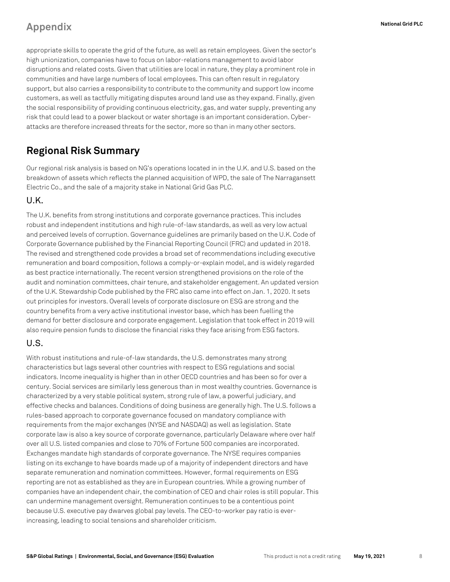## **Appendix National Grid PLC**

appropriate skills to operate the grid of the future, as well as retain employees. Given the sector's high unionization, companies have to focus on labor-relations management to avoid labor disruptions and related costs. Given that utilities are local in nature, they play a prominent role in communities and have large numbers of local employees. This can often result in regulatory support, but also carries a responsibility to contribute to the community and support low income customers, as well as tactfully mitigating disputes around land use as they expand. Finally, given the social responsibility of providing continuous electricity, gas, and water supply, preventing any risk that could lead to a power blackout or water shortage is an important consideration. Cyberattacks are therefore increased threats for the sector, more so than in many other sectors.

## **Regional Risk Summary**

Our regional risk analysis is based on NG's operations located in in the U.K. and U.S. based on the breakdown of assets which reflects the planned acquisition of WPD, the sale of The Narragansett Electric Co., and the sale of a majority stake in National Grid Gas PLC.

## U.K.

The U.K. benefits from strong institutions and corporate governance practices. This includes robust and independent institutions and high rule-of-law standards, as well as very low actual and perceived levels of corruption. Governance guidelines are primarily based on the U.K. Code of Corporate Governance published by the Financial Reporting Council (FRC) and updated in 2018. The revised and strengthened code provides a broad set of recommendations including executive remuneration and board composition, follows a comply-or-explain model, and is widely regarded as best practice internationally. The recent version strengthened provisions on the role of the audit and nomination committees, chair tenure, and stakeholder engagement. An updated version of the U.K. Stewardship Code published by the FRC also came into effect on Jan. 1, 2020. It sets out principles for investors. Overall levels of corporate disclosure on ESG are strong and the country benefits from a very active institutional investor base, which has been fuelling the demand for better disclosure and corporate engagement. Legislation that took effect in 2019 will also require pension funds to disclose the financial risks they face arising from ESG factors.

### U.S.

With robust institutions and rule-of-law standards, the U.S. demonstrates many strong characteristics but lags several other countries with respect to ESG regulations and social indicators. Income inequality is higher than in other OECD countries and has been so for over a century. Social services are similarly less generous than in most wealthy countries. Governance is characterized by a very stable political system, strong rule of law, a powerful judiciary, and effective checks and balances. Conditions of doing business are generally high. The U.S. follows a rules-based approach to corporate governance focused on mandatory compliance with requirements from the major exchanges (NYSE and NASDAQ) as well as legislation. State corporate law is also a key source of corporate governance, particularly Delaware where over half over all U.S. listed companies and close to 70% of Fortune 500 companies are incorporated. Exchanges mandate high standards of corporate governance. The NYSE requires companies listing on its exchange to have boards made up of a majority of independent directors and have separate remuneration and nomination committees. However, formal requirements on ESG reporting are not as established as they are in European countries. While a growing number of companies have an independent chair, the combination of CEO and chair roles is still popular. This can undermine management oversight. Remuneration continues to be a contentious point because U.S. executive pay dwarves global pay levels. The CEO-to-worker pay ratio is everincreasing, leading to social tensions and shareholder criticism.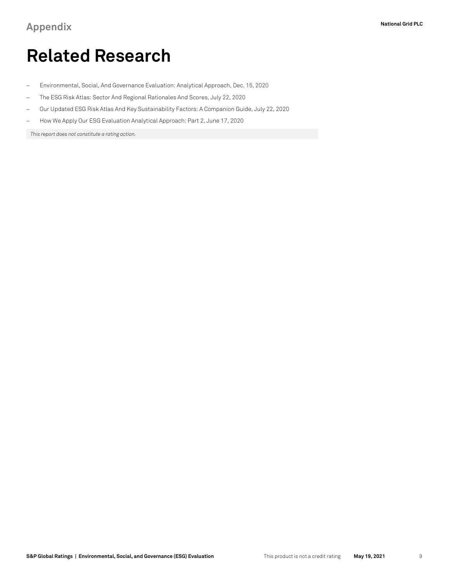## **Related Research**

- − Environmental, Social, And Governance Evaluation: Analytical Approach, Dec. 15, 2020
- − The ESG Risk Atlas: Sector And Regional Rationales And Scores, July 22, 2020
- − Our Updated ESG Risk Atlas And Key Sustainability Factors: A Companion Guide, July 22, 2020
- − How We Apply Our ESG Evaluation Analytical Approach: Part 2, June 17, 2020

*This report does not constitute a rating action.*